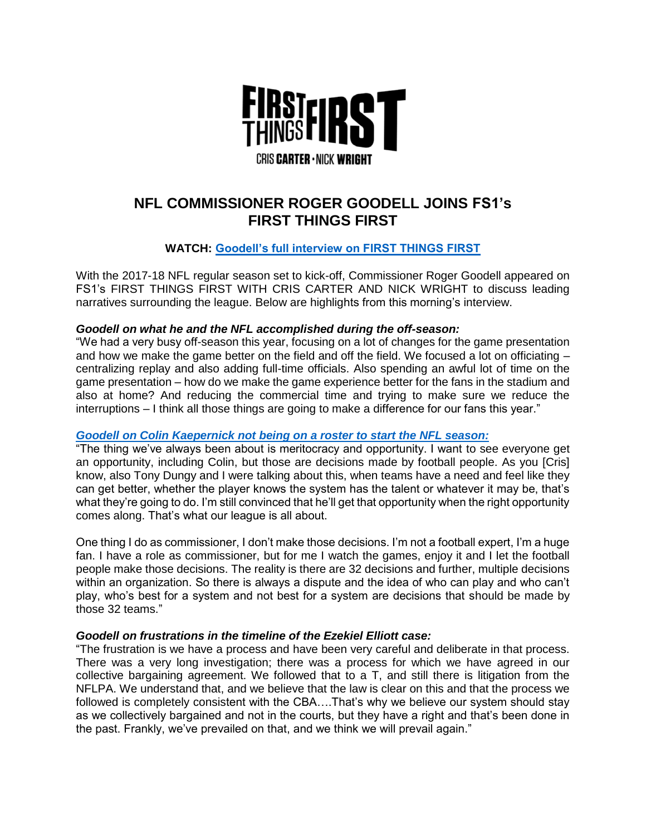

# **NFL COMMISSIONER ROGER GOODELL JOINS FS1's FIRST THINGS FIRST**

# **WATCH: [Goodell's full interview on FIRST THINGS FIRST](http://bit.ly/2eJVt2u)**

With the 2017-18 NFL regular season set to kick-off, Commissioner Roger Goodell appeared on FS1's FIRST THINGS FIRST WITH CRIS CARTER AND NICK WRIGHT to discuss leading narratives surrounding the league. Below are highlights from this morning's interview.

#### *Goodell on what he and the NFL accomplished during the off-season:*

"We had a very busy off-season this year, focusing on a lot of changes for the game presentation and how we make the game better on the field and off the field. We focused a lot on officiating – centralizing replay and also adding full-time officials. Also spending an awful lot of time on the game presentation – how do we make the game experience better for the fans in the stadium and also at home? And reducing the commercial time and trying to make sure we reduce the interruptions – I think all those things are going to make a difference for our fans this year."

## *[Goodell on Colin Kaepernick not being on a roster to start the NFL season:](https://twitter.com/FTFonFS1/status/905800625811804163)*

"The thing we've always been about is meritocracy and opportunity. I want to see everyone get an opportunity, including Colin, but those are decisions made by football people. As you [Cris] know, also Tony Dungy and I were talking about this, when teams have a need and feel like they can get better, whether the player knows the system has the talent or whatever it may be, that's what they're going to do. I'm still convinced that he'll get that opportunity when the right opportunity comes along. That's what our league is all about.

One thing I do as commissioner, I don't make those decisions. I'm not a football expert, I'm a huge fan. I have a role as commissioner, but for me I watch the games, enjoy it and I let the football people make those decisions. The reality is there are 32 decisions and further, multiple decisions within an organization. So there is always a dispute and the idea of who can play and who can't play, who's best for a system and not best for a system are decisions that should be made by those 32 teams."

## *Goodell on frustrations in the timeline of the Ezekiel Elliott case:*

"The frustration is we have a process and have been very careful and deliberate in that process. There was a very long investigation; there was a process for which we have agreed in our collective bargaining agreement. We followed that to a T, and still there is litigation from the NFLPA. We understand that, and we believe that the law is clear on this and that the process we followed is completely consistent with the CBA….That's why we believe our system should stay as we collectively bargained and not in the courts, but they have a right and that's been done in the past. Frankly, we've prevailed on that, and we think we will prevail again."